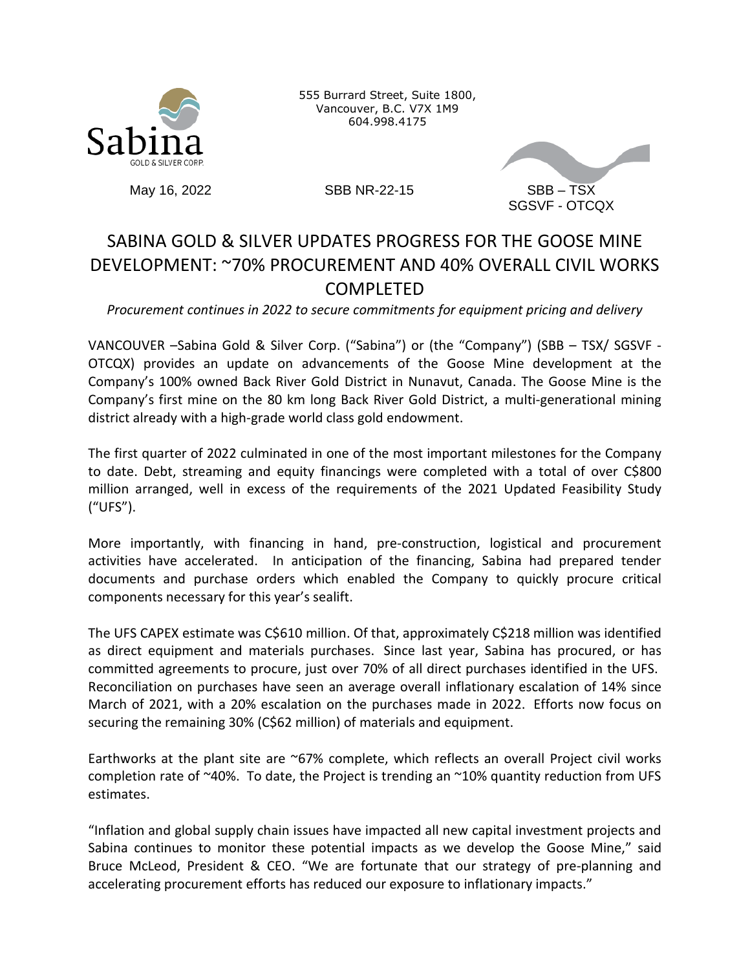

555 Burrard Street, Suite 1800, Vancouver, B.C. V7X 1M9 604.998.4175



# SABINA GOLD & SILVER UPDATES PROGRESS FOR THE GOOSE MINE DEVELOPMENT: ~70% PROCUREMENT AND 40% OVERALL CIVIL WORKS **COMPLETFD**

*Procurement continues in 2022 to secure commitments for equipment pricing and delivery*

VANCOUVER –Sabina Gold & Silver Corp. ("Sabina") or (the "Company") (SBB – TSX/ SGSVF - OTCQX) provides an update on advancements of the Goose Mine development at the Company's 100% owned Back River Gold District in Nunavut, Canada. The Goose Mine is the Company's first mine on the 80 km long Back River Gold District, a multi-generational mining district already with a high-grade world class gold endowment.

The first quarter of 2022 culminated in one of the most important milestones for the Company to date. Debt, streaming and equity financings were completed with a total of over C\$800 million arranged, well in excess of the requirements of the 2021 Updated Feasibility Study ("UFS").

More importantly, with financing in hand, pre-construction, logistical and procurement activities have accelerated. In anticipation of the financing, Sabina had prepared tender documents and purchase orders which enabled the Company to quickly procure critical components necessary for this year's sealift.

The UFS CAPEX estimate was C\$610 million. Of that, approximately C\$218 million was identified as direct equipment and materials purchases. Since last year, Sabina has procured, or has committed agreements to procure, just over 70% of all direct purchases identified in the UFS. Reconciliation on purchases have seen an average overall inflationary escalation of 14% since March of 2021, with a 20% escalation on the purchases made in 2022. Efforts now focus on securing the remaining 30% (C\$62 million) of materials and equipment.

Earthworks at the plant site are ~67% complete, which reflects an overall Project civil works completion rate of  $^{\sim}40\%$ . To date, the Project is trending an  $^{\sim}10\%$  quantity reduction from UFS estimates.

"Inflation and global supply chain issues have impacted all new capital investment projects and Sabina continues to monitor these potential impacts as we develop the Goose Mine," said Bruce McLeod, President & CEO. "We are fortunate that our strategy of pre-planning and accelerating procurement efforts has reduced our exposure to inflationary impacts."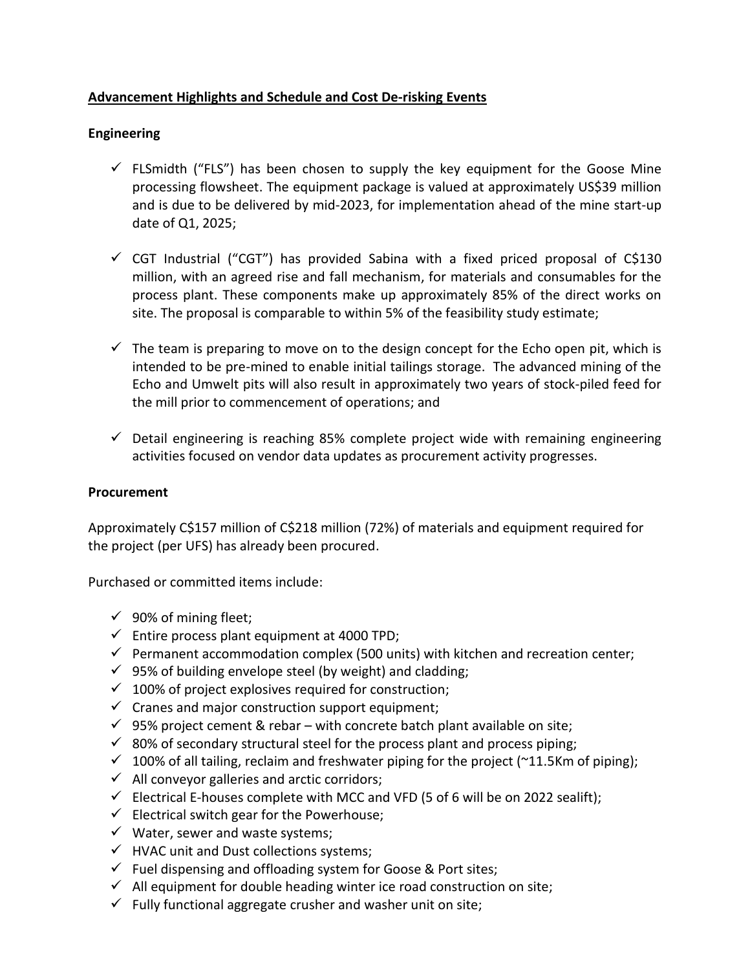# **Advancement Highlights and Schedule and Cost De-risking Events**

# **Engineering**

- $\checkmark$  FLSmidth ("FLS") has been chosen to supply the key equipment for the Goose Mine processing flowsheet. The equipment package is valued at approximately US\$39 million and is due to be delivered by mid-2023, for implementation ahead of the mine start-up date of Q1, 2025;
- $\checkmark$  CGT Industrial ("CGT") has provided Sabina with a fixed priced proposal of C\$130 million, with an agreed rise and fall mechanism, for materials and consumables for the process plant. These components make up approximately 85% of the direct works on site. The proposal is comparable to within 5% of the feasibility study estimate;
- $\checkmark$  The team is preparing to move on to the design concept for the Echo open pit, which is intended to be pre-mined to enable initial tailings storage. The advanced mining of the Echo and Umwelt pits will also result in approximately two years of stock-piled feed for the mill prior to commencement of operations; and
- $\checkmark$  Detail engineering is reaching 85% complete project wide with remaining engineering activities focused on vendor data updates as procurement activity progresses.

# **Procurement**

Approximately C\$157 million of C\$218 million (72%) of materials and equipment required for the project (per UFS) has already been procured.

Purchased or committed items include:

- $\checkmark$  90% of mining fleet;
- $\checkmark$  Entire process plant equipment at 4000 TPD;
- $\checkmark$  Permanent accommodation complex (500 units) with kitchen and recreation center;
- $\checkmark$  95% of building envelope steel (by weight) and cladding;
- $\checkmark$  100% of project explosives required for construction;
- $\checkmark$  Cranes and major construction support equipment;
- $\checkmark$  95% project cement & rebar with concrete batch plant available on site;
- $\checkmark$  80% of secondary structural steel for the process plant and process piping;
- $\checkmark$  100% of all tailing, reclaim and freshwater piping for the project (~11.5Km of piping);
- $\checkmark$  All conveyor galleries and arctic corridors;
- $\checkmark$  Electrical E-houses complete with MCC and VFD (5 of 6 will be on 2022 sealift);
- $\checkmark$  Electrical switch gear for the Powerhouse;
- $\checkmark$  Water, sewer and waste systems;
- $\checkmark$  HVAC unit and Dust collections systems;
- $\checkmark$  Fuel dispensing and offloading system for Goose & Port sites;
- $\checkmark$  All equipment for double heading winter ice road construction on site;
- $\checkmark$  Fully functional aggregate crusher and washer unit on site;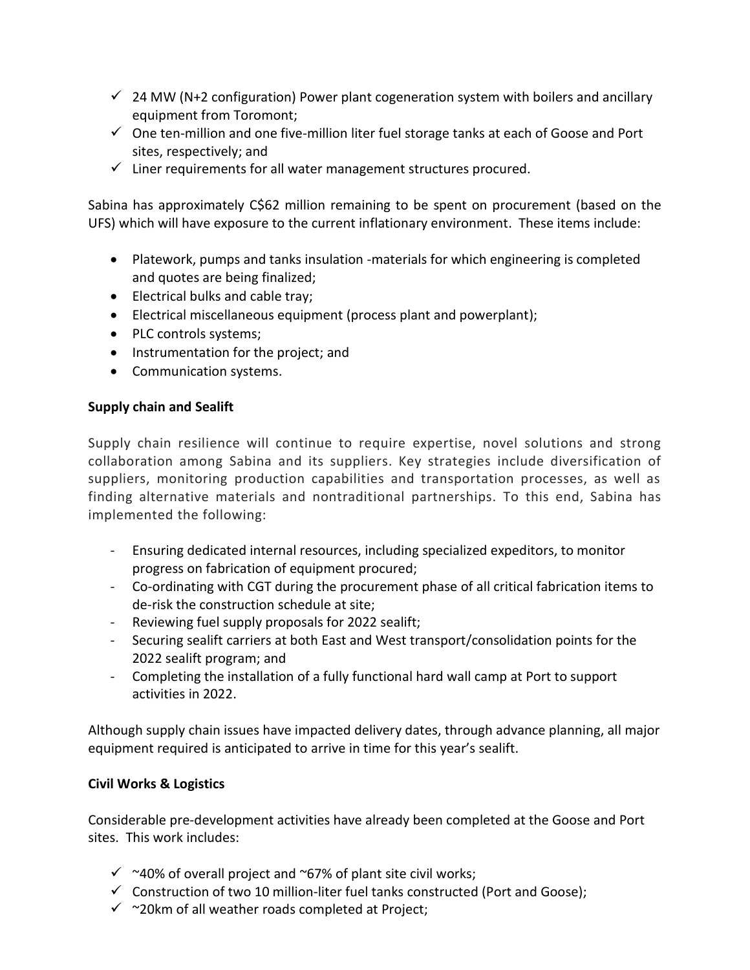- $\checkmark$  24 MW (N+2 configuration) Power plant cogeneration system with boilers and ancillary equipment from Toromont;
- $\checkmark$  One ten-million and one five-million liter fuel storage tanks at each of Goose and Port sites, respectively; and
- $\checkmark$  Liner requirements for all water management structures procured.

Sabina has approximately C\$62 million remaining to be spent on procurement (based on the UFS) which will have exposure to the current inflationary environment. These items include:

- Platework, pumps and tanks insulation -materials for which engineering is completed and quotes are being finalized;
- Electrical bulks and cable tray;
- Electrical miscellaneous equipment (process plant and powerplant);
- PLC controls systems;
- Instrumentation for the project; and
- Communication systems.

### **Supply chain and Sealift**

Supply chain resilience will continue to require expertise, novel solutions and strong collaboration among Sabina and its suppliers. Key strategies include diversification of suppliers, monitoring production capabilities and transportation processes, as well as finding alternative materials and nontraditional partnerships. To this end, Sabina has implemented the following:

- Ensuring dedicated internal resources, including specialized expeditors, to monitor progress on fabrication of equipment procured;
- Co-ordinating with CGT during the procurement phase of all critical fabrication items to de-risk the construction schedule at site;
- Reviewing fuel supply proposals for 2022 sealift;
- Securing sealift carriers at both East and West transport/consolidation points for the 2022 sealift program; and
- Completing the installation of a fully functional hard wall camp at Port to support activities in 2022.

Although supply chain issues have impacted delivery dates, through advance planning, all major equipment required is anticipated to arrive in time for this year's sealift.

# **Civil Works & Logistics**

Considerable pre-development activities have already been completed at the Goose and Port sites. This work includes:

- $\checkmark$  ~40% of overall project and ~67% of plant site civil works;
- $\checkmark$  Construction of two 10 million-liter fuel tanks constructed (Port and Goose);
- $\checkmark$  ~20km of all weather roads completed at Project;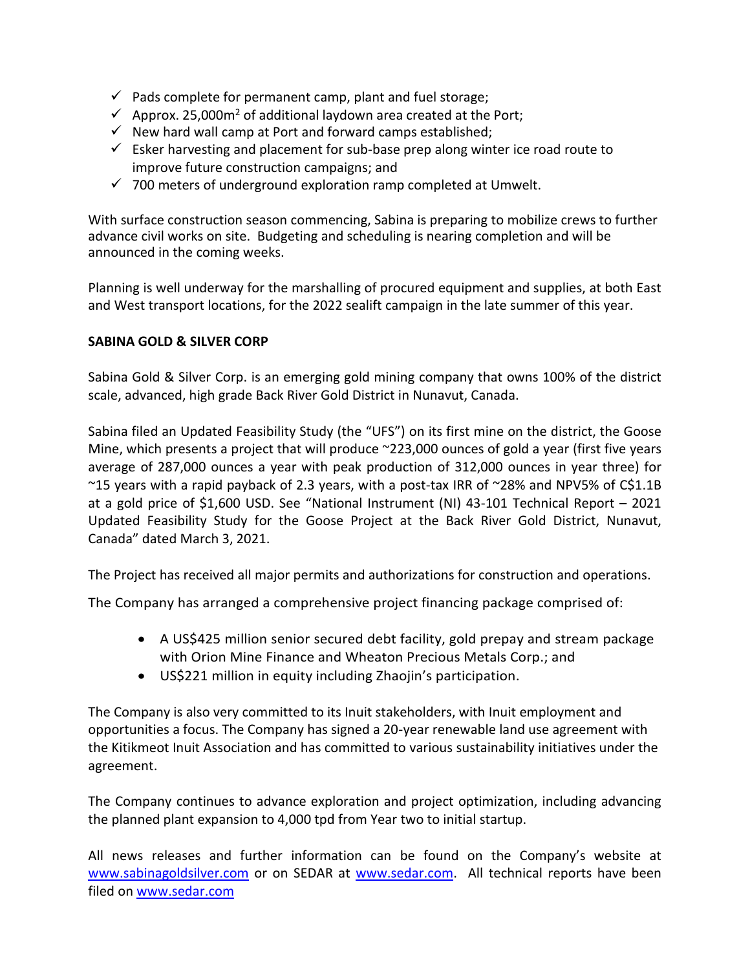- $\checkmark$  Pads complete for permanent camp, plant and fuel storage;
- $\checkmark$  Approx. 25,000m<sup>2</sup> of additional laydown area created at the Port;
- $\checkmark$  New hard wall camp at Port and forward camps established;
- $\checkmark$  Esker harvesting and placement for sub-base prep along winter ice road route to improve future construction campaigns; and
- $\checkmark$  700 meters of underground exploration ramp completed at Umwelt.

With surface construction season commencing, Sabina is preparing to mobilize crews to further advance civil works on site. Budgeting and scheduling is nearing completion and will be announced in the coming weeks.

Planning is well underway for the marshalling of procured equipment and supplies, at both East and West transport locations, for the 2022 sealift campaign in the late summer of this year.

### **SABINA GOLD & SILVER CORP**

Sabina Gold & Silver Corp. is an emerging gold mining company that owns 100% of the district scale, advanced, high grade Back River Gold District in Nunavut, Canada.

Sabina filed an Updated Feasibility Study (the "UFS") on its first mine on the district, the Goose Mine, which presents a project that will produce ~223,000 ounces of gold a year (first five years average of 287,000 ounces a year with peak production of 312,000 ounces in year three) for ~15 years with a rapid payback of 2.3 years, with a post-tax IRR of ~28% and NPV5% of C\$1.1B at a gold price of \$1,600 USD. See "National Instrument (NI) 43-101 Technical Report – 2021 Updated Feasibility Study for the Goose Project at the Back River Gold District, Nunavut, Canada" dated March 3, 2021.

The Project has received all major permits and authorizations for construction and operations.

The Company has arranged a comprehensive project financing package comprised of:

- A US\$425 million senior secured debt facility, gold prepay and stream package with Orion Mine Finance and Wheaton Precious Metals Corp.; and
- US\$221 million in equity including Zhaojin's participation.

The Company is also very committed to its Inuit stakeholders, with Inuit employment and opportunities a focus. The Company has signed a 20-year renewable land use agreement with the Kitikmeot Inuit Association and has committed to various sustainability initiatives under the agreement.

The Company continues to advance exploration and project optimization, including advancing the planned plant expansion to 4,000 tpd from Year two to initial startup.

All news releases and further information can be found on the Company's website at [www.sabinagoldsilver.com](http://www.sabinagoldsilver.com/) or on SEDAR at [www.sedar.com.](http://www.sedar.com/) All technical reports have been filed on [www.sedar.com](http://www.sedar.com/)